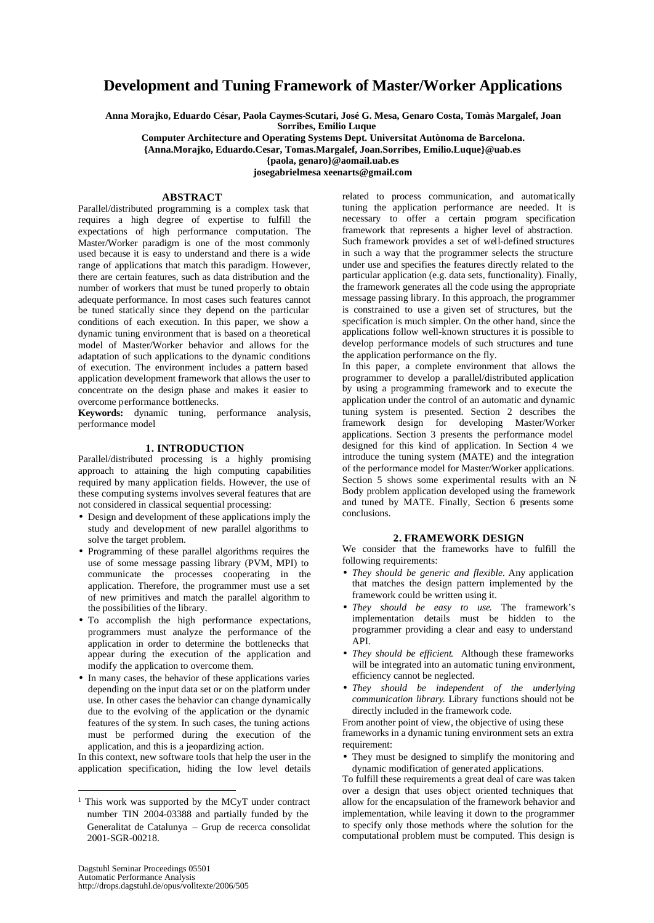# **Development and Tuning Framework of Master/Worker Applications**

**Anna Morajko, Eduardo César, Paola Caymes-Scutari, José G. Mesa, Genaro Costa, Tomàs Margalef, Joan Sorribes, Emilio Luque**

**Computer Architecture and Operating Systems Dept. Universitat Autònoma de Barcelona. {Anna.Morajko, Eduardo.Cesar, Tomas.Margalef, Joan.Sorribes, Emilio.Luque}@uab.es**

**{paola, genaro}@aomail.uab.es**

**josegabrielmesa xeenarts@gmail.com**

## **ABSTRACT**

Parallel/distributed programming is a complex task that requires a high degree of expertise to fulfill the expectations of high performance computation. The Master/Worker paradigm is one of the most commonly used because it is easy to understand and there is a wide range of applications that match this paradigm. However, there are certain features, such as data distribution and the number of workers that must be tuned properly to obtain adequate performance. In most cases such features cannot be tuned statically since they depend on the particular conditions of each execution. In this paper, we show a dynamic tuning environment that is based on a theoretical model of Master/Worker behavior and allows for the adaptation of such applications to the dynamic conditions of execution. The environment includes a pattern based application development framework that allows the user to concentrate on the design phase and makes it easier to overcome performance bottlenecks.

**Keywords:** dynamic tuning, performance analysis, performance model

# **1. INTRODUCTION**

Parallel/distributed processing is a highly promising approach to attaining the high computing capabilities required by many application fields. However, the use of these computing systems involves several features that are not considered in classical sequential processing:

- Design and development of these applications imply the study and development of new parallel algorithms to solve the target problem.
- Programming of these parallel algorithms requires the use of some message passing library (PVM, MPI) to communicate the processes cooperating in the application. Therefore, the programmer must use a set of new primitives and match the parallel algorithm to the possibilities of the library.
- To accomplish the high performance expectations, programmers must analyze the performance of the application in order to determine the bottlenecks that appear during the execution of the application and modify the application to overcome them.
- In many cases, the behavior of these applications varies depending on the input data set or on the platform under use. In other cases the behavior can change dynamically due to the evolving of the application or the dynamic features of the sy stem. In such cases, the tuning actions must be performed during the execution of the application, and this is a jeopardizing action.

In this context, new software tools that help the user in the application specification, hiding the low level details

related to process communication, and automatically tuning the application performance are needed. It is necessary to offer a certain program specification framework that represents a higher level of abstraction. Such framework provides a set of well-defined structures in such a way that the programmer selects the structure under use and specifies the features directly related to the particular application (e.g. data sets, functionality). Finally, the framework generates all the code using the appropriate message passing library. In this approach, the programmer is constrained to use a given set of structures, but the specification is much simpler. On the other hand, since the applications follow well-known structures it is possible to develop performance models of such structures and tune the application performance on the fly.

In this paper, a complete environment that allows the programmer to develop a parallel/distributed application by using a programming framework and to execute the application under the control of an automatic and dynamic tuning system is presented. Section 2 describes the framework design for developing Master/Worker applications. Section 3 presents the performance model designed for this kind of application. In Section 4 we introduce the tuning system (MATE) and the integration of the performance model for Master/Worker applications. Section 5 shows some experimental results with an N-Body problem application developed using the framework and tuned by MATE. Finally, Section  $\overline{6}$  presents some conclusions.

#### **2. FRAMEWORK DESIGN**

We consider that the frameworks have to fulfill the following requirements:

- *They should be generic and flexible.* Any application that matches the design pattern implemented by the framework could be written using it.
- *They should be easy to use*. The framework's implementation details must be hidden to the programmer providing a clear and easy to understand API.
- *They should be efficient*. Although these frameworks will be integrated into an automatic tuning environment, efficiency cannot be neglected.
- *They should be independent of the underlying communication library*. Library functions should not be directly included in the framework code.

From another point of view, the objective of using these frameworks in a dynamic tuning environment sets an extra requirement:

• They must be designed to simplify the monitoring and dynamic modification of generated applications.

To fulfill these requirements a great deal of care was taken over a design that uses object oriented techniques that allow for the encapsulation of the framework behavior and implementation, while leaving it down to the programmer to specify only those methods where the solution for the computational problem must be computed. This design is

l

<sup>&</sup>lt;sup>1</sup> This work was supported by the MCyT under contract number TIN 2004-03388 and partially funded by the Generalitat de Catalunya – Grup de recerca consolidat 2001-SGR-00218.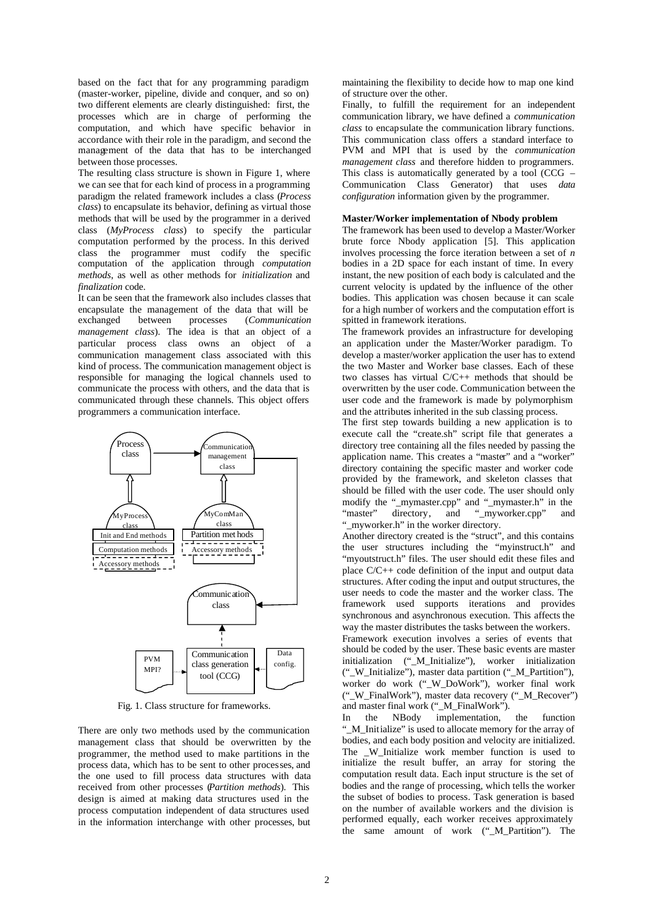based on the fact that for any programming paradigm (master-worker, pipeline, divide and conquer, and so on) two different elements are clearly distinguished: first, the processes which are in charge of performing the computation, and which have specific behavior in accordance with their role in the paradigm, and second the management of the data that has to be interchanged between those processes.

The resulting class structure is shown in Figure 1, where we can see that for each kind of process in a programming paradigm the related framework includes a class (*Process class*) to encapsulate its behavior, defining as virtual those methods that will be used by the programmer in a derived class (*MyProcess class*) to specify the particular computation performed by the process. In this derived class the programmer must codify the specific computation of the application through *computation methods*, as well as other methods for *initialization* and *finalization* code.

It can be seen that the framework also includes classes that encapsulate the management of the data that will be exchanged between processes (*Communication* exchanged between processes (*Communication management class*). The idea is that an object of a particular process class owns an object of a communication management class associated with this kind of process. The communication management object is responsible for managing the logical channels used to communicate the process with others, and the data that is communicated through these channels. This object offers programmers a communication interface.



Fig. 1. Class structure for frameworks.

There are only two methods used by the communication management class that should be overwritten by the programmer, the method used to make partitions in the process data, which has to be sent to other processes, and the one used to fill process data structures with data received from other processes (*Partition methods*). This design is aimed at making data structures used in the process computation independent of data structures used in the information interchange with other processes, but

maintaining the flexibility to decide how to map one kind of structure over the other.

Finally, to fulfill the requirement for an independent communication library, we have defined a *communication class* to encapsulate the communication library functions. This communication class offers a standard interface to PVM and MPI that is used by the *communication management class* and therefore hidden to programmers. This class is automatically generated by a tool (CCG – Communication Class Generator) that uses *data configuration* information given by the programmer.

## **Master/Worker implementation of Nbody problem**

The framework has been used to develop a Master/Worker brute force Nbody application [5]. This application involves processing the force iteration between a set of *n* bodies in a 2D space for each instant of time. In every instant, the new position of each body is calculated and the current velocity is updated by the influence of the other bodies. This application was chosen because it can scale for a high number of workers and the computation effort is spitted in framework iterations.

The framework provides an infrastructure for developing an application under the Master/Worker paradigm. To develop a master/worker application the user has to extend the two Master and Worker base classes. Each of these two classes has virtual C/C++ methods that should be overwritten by the user code. Communication between the user code and the framework is made by polymorphism and the attributes inherited in the sub classing process.

The first step towards building a new application is to execute call the "create.sh" script file that generates a directory tree containing all the files needed by passing the application name. This creates a "master" and a "worker" directory containing the specific master and worker code provided by the framework, and skeleton classes that should be filled with the user code. The user should only modify the "\_mymaster.cpp" and "\_mymaster.h" in the "master" directory, and "myworker.cpp" and "\_myworker.h" in the worker directory.

Another directory created is the "struct", and this contains the user structures including the "myinstruct.h" and "myoutstruct.h" files. The user should edit these files and place C/C++ code definition of the input and output data structures. After coding the input and output structures, the user needs to code the master and the worker class. The framework used supports iterations and provides synchronous and asynchronous execution. This affects the way the master distributes the tasks between the workers.

Framework execution involves a series of events that should be coded by the user. These basic events are master initialization ("\_M\_Initialize"), worker initialization ("\_W\_Initialize"), master data partition ("\_M\_Partition"), worker do work ("\_W\_DoWork"), worker final work ("\_W\_FinalWork"), master data recovery ("\_M\_Recover") and master final work ("\_M\_FinalWork").

In the NBody implementation, the function "\_M\_Initialize" is used to allocate memory for the array of bodies, and each body position and velocity are initialized. The W Initialize work member function is used to initialize the result buffer, an array for storing the computation result data. Each input structure is the set of bodies and the range of processing, which tells the worker the subset of bodies to process. Task generation is based on the number of available workers and the division is performed equally, each worker receives approximately the same amount of work ("\_M\_Partition"). The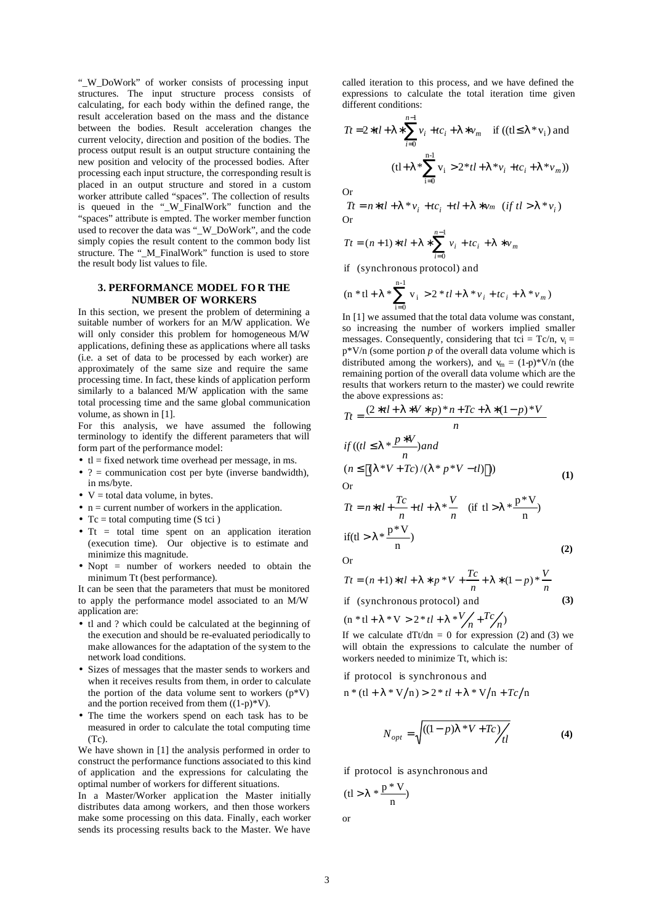"\_W\_DoWork" of worker consists of processing input structures. The input structure process consists of calculating, for each body within the defined range, the result acceleration based on the mass and the distance between the bodies. Result acceleration changes the current velocity, direction and position of the bodies. The process output result is an output structure containing the new position and velocity of the processed bodies. After processing each input structure, the corresponding result is placed in an output structure and stored in a custom worker attribute called "spaces". The collection of results is queued in the "\_W\_FinalWork" function and the "spaces" attribute is empted. The worker member function used to recover the data was "\_W\_DoWork", and the code simply copies the result content to the common body list structure. The "\_M\_FinalWork" function is used to store the result body list values to file.

## **3. PERFORMANCE MODEL FO R THE NUMBER OF WORKERS**

In this section, we present the problem of determining a suitable number of workers for an M/W application. We will only consider this problem for homogeneous M/W applications, defining these as applications where all tasks (i.e. a set of data to be processed by each worker) are approximately of the same size and require the same processing time. In fact, these kinds of application perform similarly to a balanced M/W application with the same total processing time and the same global communication volume, as shown in [1].

For this analysis, we have assumed the following terminology to identify the different parameters that will form part of the performance model:

- $\bullet$  tl = fixed network time overhead per message, in ms.
- $? =$  communication cost per byte (inverse bandwidth), in ms/byte.
- $V =$  total data volume, in bytes.
- $n =$  current number of workers in the application.
- Tc = total computing time  $(S \text{ tci})$
- $\bullet$  Tt = total time spent on an application iteration (execution time). Our objective is to estimate and minimize this magnitude.
- Nopt = number of workers needed to obtain the minimum Tt (best performance).

It can be seen that the parameters that must be monitored to apply the performance model associated to an M/W application are:

- tl and ? which could be calculated at the beginning of the execution and should be re-evaluated periodically to make allowances for the adaptation of the system to the network load conditions.
- Sizes of messages that the master sends to workers and when it receives results from them, in order to calculate the portion of the data volume sent to workers  $(p*V)$ and the portion received from them  $((1-p) * V)$ .
- The time the workers spend on each task has to be measured in order to calculate the total computing time  $(Tc)$ .

We have shown in [1] the analysis performed in order to construct the performance functions associated to this kind of application and the expressions for calculating the optimal number of workers for different situations.

In a Master/Worker application the Master initially distributes data among workers, and then those workers make some processing on this data. Finally, each worker sends its processing results back to the Master. We have

called iteration to this process, and we have defined the expressions to calculate the total iteration time given different conditions:

$$
Tt = 2 * t l + I * \sum_{i=0}^{n-1} v_i + tc_i + I * v_m
$$
 if ((tl \le I \* v\_i) and  
(tl + I \*  $\sum_{i=0}^{n-1} v_i > 2 * t l + I * v_i + tc_i + I * v_m$ ))

Or

$$
Tt = n * t l + I * v_i + tc_i + tl + I * v_m \quad (if \ tl > l * v_i)
$$
Or

$$
Tt = (n+1)*tl + \mathbf{I} * \sum_{i=0}^{n-1} v_i + tc_i + \mathbf{I} * v_m
$$

if (synchronous protocol) and

$$
(\mathbf{n} * \mathbf{t} + \mathbf{I} * \sum_{i=0}^{n-1} \mathbf{v}_i > 2 * t\mathbf{I} + \mathbf{I} * \mathbf{v}_i + t\mathbf{c}_i + \mathbf{I} * \mathbf{v}_m)
$$

In [1] we assumed that the total data volume was constant, so increasing the number of workers implied smaller messages. Consequently, considering that tci =  $Tc/n$ ,  $v_i$  = p\*V/n (some portion *p* of the overall data volume which is distributed among the workers), and  $v_m = (1-p) * V/n$  (the remaining portion of the overall data volume which are the results that workers return to the master) we could rewrite the above expressions as:

$$
Tt = \frac{(2 * t + 1 * V * p) * n + Tc + 1 * (1 - p) * V}{n}
$$
  
if ((t|  $\le$  1 \*  $\frac{p * V}{n}$ ) and  
(n  $\le$  [(1 \* V + Tc) / (1 \* p \* V - t])])  
Or

Or

$$
Tt = n * t + \frac{Tc}{n} + t + \frac{V}{n} \quad \text{(if } t > I * \frac{p*V}{n} \text{)}
$$
\n
$$
\text{if } t > I * \frac{p*V}{n} \text{ (if } t > I \text{ (if } t > I \text{ (if } t > I \text{ (if } t > I \text{ (if } t > I \text{ (if } t > I \text{ (if } t > I \text{ (if } t > I \text{ (if } t > I \text{ (if } t > I \text{ (if } t > I \text{ (if } t > I \text{ (if } t > I \text{ (if } t > I \text{ (if } t > I \text{ (if } t > I \text{ (if } t > I \text{ (if } t > I \text{ (if } t > I \text{ (if } t > I \text{ (if } t > I \text{ (if } t > I \text{ (if } t > I \text{ (if } t > I \text{ (if } t > I \text{ (if } t > I \text{ (if } t > I \text{ (if } t > I \text{ (if } t > I \text{ (if } t > I \text{ (if } t > I \text{ (if } t > I \text{ (if } t > I \text{ (if } t > I \text{ (if } t > I \text{ (if } t > I \text{ (if } t > I \text{ (if } t > I \text{ (if } t > I \text{ (if } t > I \text{ (if } t > I \text{ (if } t > I \text{ (if } t > I \text{ (if } t > I \text{ (if } t > I \text{ (if } t > I \text{ (if } t > I \text{ (if } t > I \text{ (if } t > I \text{ (if } t > I \text{ (if } t > I \text{ (if } t > I \text{ (if } t > I \text{ (if } t > I \text{ (if } t > I \text{ (if } t > I \text{ (if } t > I \text{ (if } t > I \text{ (if } t > I \text{ (if } t > I \text{ (if } t > I \text{ (if } t >
$$

Or

$$
Tt = (n+1)*tl + I * p*V + \frac{Tc}{n} + I * (1-p)*\frac{V}{n}
$$
  
if (synchronous protocol) and (3)

 $(n * t1 + I * V > 2 * t1 + I * V/n + Tc/n)$ 

If we calculate  $dTt/dn = 0$  for expression (2) and (3) we will obtain the expressions to calculate the number of workers needed to minimize Tt, which is:

if protocol is synchronous and

$$
n * (tl + I * V/n) > 2 * tl + I * V/n + Tc/n
$$

$$
N_{opt} = \sqrt{((1-p)I \cdot V + T_c) / \frac{1}{t}}
$$
 (4)

if protocol is asynchronous and

$$
(tl > l * \frac{p * V}{n})
$$

or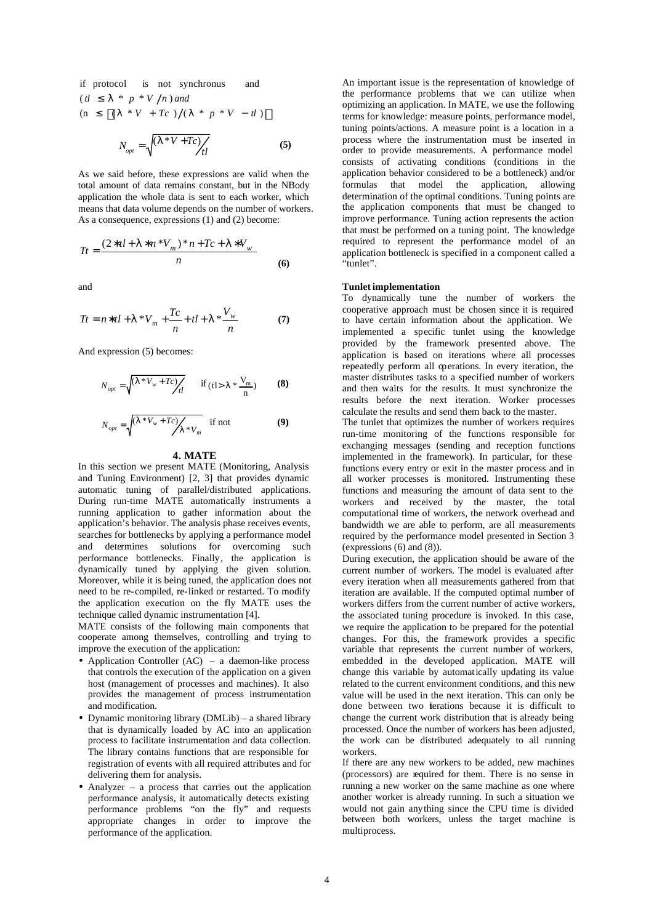$(n \leq \lceil (1 * V + T_c) / (1 * p * V - t \rceil) \rceil$  $(t \mid \leq 1 * p * V/n)$  and if protocol is not synchronus and  $N_{opt} = \sqrt{\frac{(I * V + Tc)}{t}}$  (5)

As we said before, these expressions are valid when the total amount of data remains constant, but in the NBody application the whole data is sent to each worker, which means that data volume depends on the number of workers. As a consequence, expressions (1) and (2) become:

$$
Tt = \frac{(2*tl + 1*n*V_m)*n + Tc + 1*V_w}{n}
$$
 (6)

and

$$
Tt = n * t l + I * V_m + \frac{T_c}{n} + t l + I * \frac{V_w}{n}
$$
 (7)

And expression (5) becomes:

$$
N_{opt} = \sqrt{\frac{(I * V_w + Tc)}{t}} \quad \text{if (tl > l * \frac{V_m}{n})} \quad (8)
$$

$$
N_{opt} = \sqrt{\frac{(I * V_w + Tc)}{I * V_m}} \quad \text{if not} \tag{9}
$$

#### **4. MATE**

In this section we present MATE (Monitoring, Analysis and Tuning Environment) [2, 3] that provides dynamic automatic tuning of parallel/distributed applications. During run-time MATE automatically instruments a running application to gather information about the application's behavior. The analysis phase receives events, searches for bottlenecks by applying a performance model and determines solutions for overcoming such performance bottlenecks. Finally, the application is dynamically tuned by applying the given solution. Moreover, while it is being tuned, the application does not need to be re-compiled, re-linked or restarted. To modify the application execution on the fly MATE uses the technique called dynamic instrumentation [4].

MATE consists of the following main components that cooperate among themselves, controlling and trying to improve the execution of the application:

- Application Controller (AC) a daemon-like process that controls the execution of the application on a given host (management of processes and machines). It also provides the management of process instrumentation and modification.
- Dynamic monitoring library (DMLib) a shared library that is dynamically loaded by AC into an application process to facilitate instrumentation and data collection. The library contains functions that are responsible for registration of events with all required attributes and for delivering them for analysis.
- Analyzer a process that carries out the application performance analysis, it automatically detects existing performance problems "on the fly" and requests appropriate changes in order to improve the performance of the application.

An important issue is the representation of knowledge of the performance problems that we can utilize when optimizing an application. In MATE, we use the following terms for knowledge: measure points, performance model, tuning points/actions. A measure point is a location in a process where the instrumentation must be inserted in order to provide measurements. A performance model consists of activating conditions (conditions in the application behavior considered to be a bottleneck) and/or formulas that model the application, allowing determination of the optimal conditions. Tuning points are the application components that must be changed to improve performance. Tuning action represents the action that must be performed on a tuning point. The knowledge required to represent the performance model of an application bottleneck is specified in a component called a "tunlet".

## **Tunlet implementation**

To dynamically tune the number of workers the cooperative approach must be chosen since it is required to have certain information about the application. We implemented a specific tunlet using the knowledge provided by the framework presented above. The application is based on iterations where all processes repeatedly perform all operations. In every iteration, the master distributes tasks to a specified number of workers and then waits for the results. It must synchronize the results before the next iteration. Worker processes calculate the results and send them back to the master.

The tunlet that optimizes the number of workers requires run-time monitoring of the functions responsible for exchanging messages (sending and reception functions implemented in the framework). In particular, for these functions every entry or exit in the master process and in all worker processes is monitored. Instrumenting these functions and measuring the amount of data sent to the workers and received by the master, the total computational time of workers, the network overhead and bandwidth we are able to perform, are all measurements required by the performance model presented in Section 3 (expressions (6) and (8)).

During execution, the application should be aware of the current number of workers. The model is evaluated after every iteration when all measurements gathered from that iteration are available. If the computed optimal number of workers differs from the current number of active workers, the associated tuning procedure is invoked. In this case, we require the application to be prepared for the potential changes. For this, the framework provides a specific variable that represents the current number of workers, embedded in the developed application. MATE will change this variable by automatically updating its value related to the current environment conditions, and this new value will be used in the next iteration. This can only be done between two ierations because it is difficult to change the current work distribution that is already being processed. Once the number of workers has been adjusted, the work can be distributed adequately to all running workers.

If there are any new workers to be added, new machines (processors) are required for them. There is no sense in running a new worker on the same machine as one where another worker is already running. In such a situation we would not gain anything since the CPU time is divided between both workers, unless the target machine is multiprocess.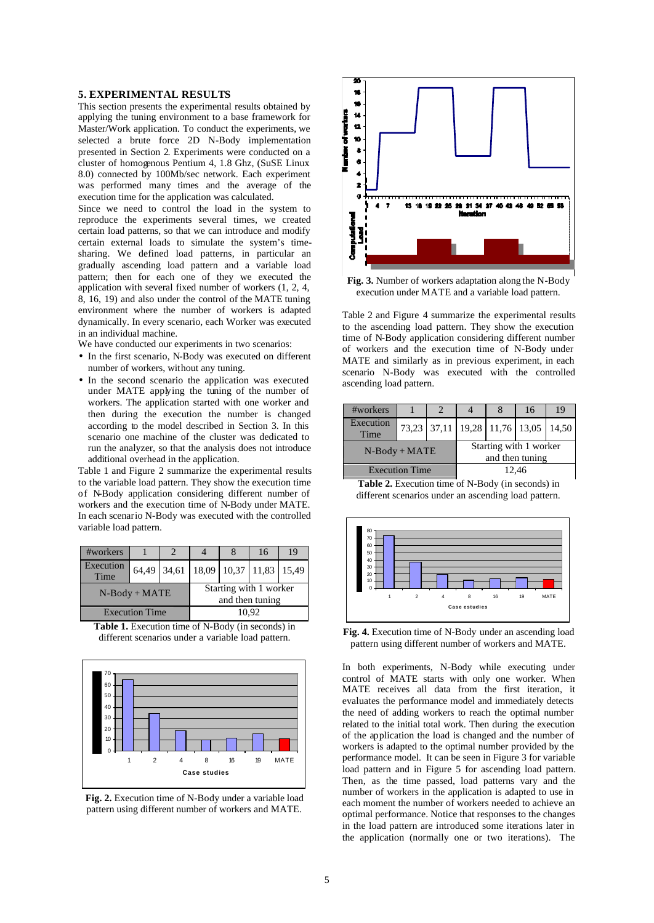### **5. EXPERIMENTAL RESULTS**

This section presents the experimental results obtained by applying the tuning environment to a base framework for Master/Work application. To conduct the experiments, we selected a brute force 2D N-Body implementation presented in Section 2. Experiments were conducted on a cluster of homogenous Pentium 4, 1.8 Ghz, (SuSE Linux 8.0) connected by 100Mb/sec network. Each experiment was performed many times and the average of the execution time for the application was calculated.

Since we need to control the load in the system to reproduce the experiments several times, we created certain load patterns, so that we can introduce and modify certain external loads to simulate the system's timesharing. We defined load patterns, in particular an gradually ascending load pattern and a variable load pattern; then for each one of they we executed the application with several fixed number of workers (1, 2, 4, 8, 16, 19) and also under the control of the MATE tuning environment where the number of workers is adapted dynamically. In every scenario, each Worker was executed in an individual machine.

We have conducted our experiments in two scenarios:

- In the first scenario, N-Body was executed on different number of workers, without any tuning.
- In the second scenario the application was executed under MATE applying the tuning of the number of workers. The application started with one worker and then during the execution the number is changed according to the model described in Section 3. In this scenario one machine of the cluster was dedicated to run the analyzer, so that the analysis does not introduce additional overhead in the application.

Table 1 and Figure 2 summarize the experimental results to the variable load pattern. They show the execution time of N-Body application considering different number of workers and the execution time of N-Body under MATE. In each scenario N-Body was executed with the controlled variable load pattern.

| #workers              |       |                               |                                           |  | 16 | 19 |  |
|-----------------------|-------|-------------------------------|-------------------------------------------|--|----|----|--|
| Execution<br>Time     | 64,49 | 34,61 18,09 10,37 11,83 15,49 |                                           |  |    |    |  |
| $N-Body + MATE$       |       |                               | Starting with 1 worker<br>and then tuning |  |    |    |  |
| <b>Execution Time</b> |       |                               | 10.92                                     |  |    |    |  |

**Table 1.** Execution time of N-Body (in seconds) in different scenarios under a variable load pattern.



**Fig. 2.** Execution time of N-Body under a variable load pattern using different number of workers and MATE.



**Fig. 3.** Number of workers adaptation along the N-Body execution under MATE and a variable load pattern.

Table 2 and Figure 4 summarize the experimental results to the ascending load pattern. They show the execution time of N-Body application considering different number of workers and the execution time of N-Body under MATE and similarly as in previous experiment, in each scenario N-Body was executed with the controlled ascending load pattern.

| #workers              |  |  |                                           |  | 16                                  | 19 |  |
|-----------------------|--|--|-------------------------------------------|--|-------------------------------------|----|--|
| Execution<br>Time     |  |  |                                           |  | 73,23 37,11 19,28 11,76 13,05 14,50 |    |  |
| $N-Body + MATE$       |  |  | Starting with 1 worker<br>and then tuning |  |                                     |    |  |
| <b>Execution Time</b> |  |  | 12.46                                     |  |                                     |    |  |

**Table 2.** Execution time of N-Body (in seconds) in different scenarios under an ascending load pattern.



**Fig. 4.** Execution time of N-Body under an ascending load pattern using different number of workers and MATE.

In both experiments, N-Body while executing under control of MATE starts with only one worker. When MATE receives all data from the first iteration, it evaluates the performance model and immediately detects the need of adding workers to reach the optimal number related to the initial total work. Then during the execution of the application the load is changed and the number of workers is adapted to the optimal number provided by the performance model. It can be seen in Figure 3 for variable load pattern and in Figure 5 for ascending load pattern. Then, as the time passed, load patterns vary and the number of workers in the application is adapted to use in each moment the number of workers needed to achieve an optimal performance. Notice that responses to the changes in the load pattern are introduced some iterations later in the application (normally one or two iterations). The